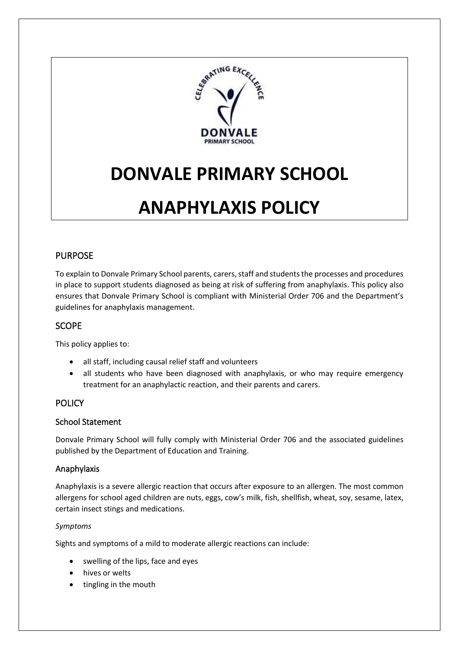

# **DONVALE PRIMARY SCHOOL**

# **ANAPHYLAXIS POLICY**

# PURPOSE

To explain to Donvale Primary School parents, carers, staff and students the processes and procedures in place to support students diagnosed as being at risk of suffering from anaphylaxis. This policy also ensures that Donvale Primary School is compliant with Ministerial Order 706 and the Department's guidelines for anaphylaxis management.

# SCOPE

This policy applies to:

- all staff, including causal relief staff and volunteers
- all students who have been diagnosed with anaphylaxis, or who may require emergency treatment for an anaphylactic reaction, and their parents and carers.

# POLICY

## School Statement

Donvale Primary School will fully comply with Ministerial Order 706 and the associated guidelines published by the Department of Education and Training.

## Anaphylaxis

Anaphylaxis is a severe allergic reaction that occurs after exposure to an allergen. The most common allergens for school aged children are nuts, eggs, cow's milk, fish, shellfish, wheat, soy, sesame, latex, certain insect stings and medications.

## *Symptoms*

Sights and symptoms of a mild to moderate allergic reactions can include:

- swelling of the lips, face and eyes
- hives or welts
- tingling in the mouth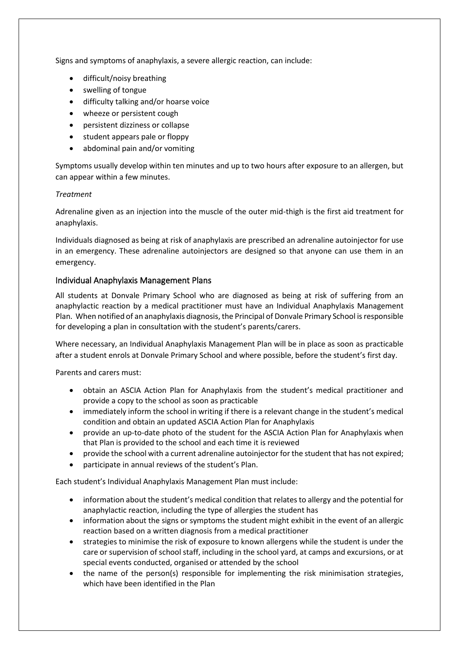Signs and symptoms of anaphylaxis, a severe allergic reaction, can include:

- difficult/noisy breathing
- swelling of tongue
- difficulty talking and/or hoarse voice
- wheeze or persistent cough
- persistent dizziness or collapse
- student appears pale or floppy
- abdominal pain and/or vomiting

Symptoms usually develop within ten minutes and up to two hours after exposure to an allergen, but can appear within a few minutes.

#### *Treatment*

Adrenaline given as an injection into the muscle of the outer mid-thigh is the first aid treatment for anaphylaxis.

Individuals diagnosed as being at risk of anaphylaxis are prescribed an adrenaline autoinjector for use in an emergency. These adrenaline autoinjectors are designed so that anyone can use them in an emergency.

## Individual Anaphylaxis Management Plans

All students at Donvale Primary School who are diagnosed as being at risk of suffering from an anaphylactic reaction by a medical practitioner must have an Individual Anaphylaxis Management Plan. When notified of an anaphylaxis diagnosis, the Principal of Donvale Primary School is responsible for developing a plan in consultation with the student's parents/carers.

Where necessary, an Individual Anaphylaxis Management Plan will be in place as soon as practicable after a student enrols at Donvale Primary School and where possible, before the student's first day.

Parents and carers must:

- obtain an ASCIA Action Plan for Anaphylaxis from the student's medical practitioner and provide a copy to the school as soon as practicable
- immediately inform the school in writing if there is a relevant change in the student's medical condition and obtain an updated ASCIA Action Plan for Anaphylaxis
- provide an up-to-date photo of the student for the ASCIA Action Plan for Anaphylaxis when that Plan is provided to the school and each time it is reviewed
- provide the school with a current adrenaline autoinjector for the student that has not expired;
- participate in annual reviews of the student's Plan.

Each student's Individual Anaphylaxis Management Plan must include:

- information about the student's medical condition that relates to allergy and the potential for anaphylactic reaction, including the type of allergies the student has
- information about the signs or symptoms the student might exhibit in the event of an allergic reaction based on a written diagnosis from a medical practitioner
- strategies to minimise the risk of exposure to known allergens while the student is under the care or supervision of school staff, including in the school yard, at camps and excursions, or at special events conducted, organised or attended by the school
- the name of the person(s) responsible for implementing the risk minimisation strategies, which have been identified in the Plan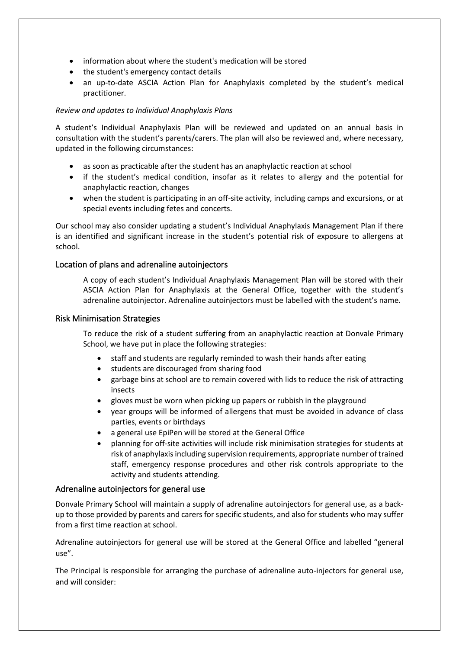- information about where the student's medication will be stored
- the student's emergency contact details
- an up-to-date ASCIA Action Plan for Anaphylaxis completed by the student's medical practitioner.

#### *Review and updates to Individual Anaphylaxis Plans*

A student's Individual Anaphylaxis Plan will be reviewed and updated on an annual basis in consultation with the student's parents/carers. The plan will also be reviewed and, where necessary, updated in the following circumstances:

- as soon as practicable after the student has an anaphylactic reaction at school
- if the student's medical condition, insofar as it relates to allergy and the potential for anaphylactic reaction, changes
- when the student is participating in an off-site activity, including camps and excursions, or at special events including fetes and concerts.

Our school may also consider updating a student's Individual Anaphylaxis Management Plan if there is an identified and significant increase in the student's potential risk of exposure to allergens at school.

#### Location of plans and adrenaline autoinjectors

A copy of each student's Individual Anaphylaxis Management Plan will be stored with their ASCIA Action Plan for Anaphylaxis at the General Office, together with the student's adrenaline autoinjector. Adrenaline autoinjectors must be labelled with the student's name*.*

#### Risk Minimisation Strategies

To reduce the risk of a student suffering from an anaphylactic reaction at Donvale Primary School, we have put in place the following strategies:

- staff and students are regularly reminded to wash their hands after eating
- students are discouraged from sharing food
- garbage bins at school are to remain covered with lids to reduce the risk of attracting insects
- gloves must be worn when picking up papers or rubbish in the playground
- year groups will be informed of allergens that must be avoided in advance of class parties, events or birthdays
- a general use EpiPen will be stored at the General Office
- planning for off-site activities will include risk minimisation strategies for students at risk of anaphylaxis including supervision requirements, appropriate number of trained staff, emergency response procedures and other risk controls appropriate to the activity and students attending.

#### Adrenaline autoinjectors for general use

Donvale Primary School will maintain a supply of adrenaline autoinjectors for general use, as a backup to those provided by parents and carers for specific students, and also for students who may suffer from a first time reaction at school.

Adrenaline autoinjectors for general use will be stored at the General Office and labelled "general use".

The Principal is responsible for arranging the purchase of adrenaline auto-injectors for general use, and will consider: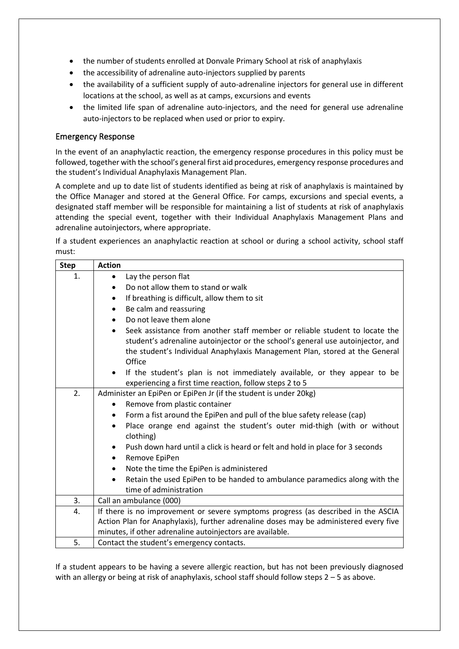- the number of students enrolled at Donvale Primary School at risk of anaphylaxis
- the accessibility of adrenaline auto-injectors supplied by parents
- the availability of a sufficient supply of auto-adrenaline injectors for general use in different locations at the school, as well as at camps, excursions and events
- the limited life span of adrenaline auto-injectors, and the need for general use adrenaline auto-injectors to be replaced when used or prior to expiry.

## Emergency Response

In the event of an anaphylactic reaction, the emergency response procedures in this policy must be followed, together with the school's general first aid procedures, emergency response procedures and the student's Individual Anaphylaxis Management Plan.

A complete and up to date list of students identified as being at risk of anaphylaxis is maintained by the Office Manager and stored at the General Office. For camps, excursions and special events, a designated staff member will be responsible for maintaining a list of students at risk of anaphylaxis attending the special event, together with their Individual Anaphylaxis Management Plans and adrenaline autoinjectors, where appropriate.

If a student experiences an anaphylactic reaction at school or during a school activity, school staff must:

| <b>Step</b> | <b>Action</b>                                                                                                                                                                                                                                                        |  |
|-------------|----------------------------------------------------------------------------------------------------------------------------------------------------------------------------------------------------------------------------------------------------------------------|--|
| 1.          | Lay the person flat<br>$\bullet$                                                                                                                                                                                                                                     |  |
|             | Do not allow them to stand or walk<br>$\bullet$                                                                                                                                                                                                                      |  |
|             | If breathing is difficult, allow them to sit<br>$\bullet$                                                                                                                                                                                                            |  |
|             | Be calm and reassuring<br>$\bullet$                                                                                                                                                                                                                                  |  |
|             | Do not leave them alone<br>$\bullet$                                                                                                                                                                                                                                 |  |
|             | Seek assistance from another staff member or reliable student to locate the<br>$\bullet$<br>student's adrenaline autoinjector or the school's general use autoinjector, and<br>the student's Individual Anaphylaxis Management Plan, stored at the General<br>Office |  |
|             | If the student's plan is not immediately available, or they appear to be<br>$\bullet$<br>experiencing a first time reaction, follow steps 2 to 5                                                                                                                     |  |
| 2.          | Administer an EpiPen or EpiPen Jr (if the student is under 20kg)                                                                                                                                                                                                     |  |
|             | Remove from plastic container                                                                                                                                                                                                                                        |  |
|             | Form a fist around the EpiPen and pull of the blue safety release (cap)<br>$\bullet$                                                                                                                                                                                 |  |
|             | Place orange end against the student's outer mid-thigh (with or without<br>$\bullet$<br>clothing)                                                                                                                                                                    |  |
|             | Push down hard until a click is heard or felt and hold in place for 3 seconds<br>$\bullet$                                                                                                                                                                           |  |
|             | Remove EpiPen<br>٠                                                                                                                                                                                                                                                   |  |
|             | Note the time the EpiPen is administered<br>$\bullet$                                                                                                                                                                                                                |  |
|             | Retain the used EpiPen to be handed to ambulance paramedics along with the                                                                                                                                                                                           |  |
|             | time of administration                                                                                                                                                                                                                                               |  |
| 3.          | Call an ambulance (000)                                                                                                                                                                                                                                              |  |
| 4.          | If there is no improvement or severe symptoms progress (as described in the ASCIA                                                                                                                                                                                    |  |
|             | Action Plan for Anaphylaxis), further adrenaline doses may be administered every five                                                                                                                                                                                |  |
|             | minutes, if other adrenaline autoinjectors are available.                                                                                                                                                                                                            |  |
| 5.          | Contact the student's emergency contacts.                                                                                                                                                                                                                            |  |

If a student appears to be having a severe allergic reaction, but has not been previously diagnosed with an allergy or being at risk of anaphylaxis, school staff should follow steps 2 – 5 as above.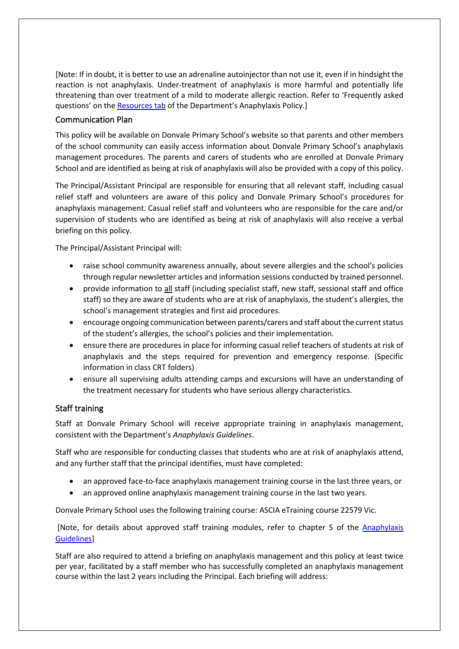[Note: If in doubt, it is better to use an adrenaline autoinjector than not use it, even if in hindsight the reaction is not anaphylaxis. Under-treatment of anaphylaxis is more harmful and potentially life threatening than over treatment of a mild to moderate allergic reaction. Refer to 'Frequently asked questions' on the [Resources tab](https://www2.education.vic.gov.au/pal/anaphylaxis/resources) of the Department's Anaphylaxis Policy.]

## Communication Plan

This policy will be available on Donvale Primary School's website so that parents and other members of the school community can easily access information about Donvale Primary School's anaphylaxis management procedures. The parents and carers of students who are enrolled at Donvale Primary School and are identified as being at risk of anaphylaxis will also be provided with a copy of this policy.

The Principal/Assistant Principal are responsible for ensuring that all relevant staff, including casual relief staff and volunteers are aware of this policy and Donvale Primary School's procedures for anaphylaxis management. Casual relief staff and volunteers who are responsible for the care and/or supervision of students who are identified as being at risk of anaphylaxis will also receive a verbal briefing on this policy.

The Principal/Assistant Principal will:

- raise school community awareness annually, about severe allergies and the school's policies through regular newsletter articles and information sessions conducted by trained personnel.
- provide information to all staff (including specialist staff, new staff, sessional staff and office staff) so they are aware of students who are at risk of anaphylaxis, the student's allergies, the school's management strategies and first aid procedures.
- encourage ongoing communication between parents/carers and staff about the current status of the student's allergies, the school's policies and their implementation.
- ensure there are procedures in place for informing casual relief teachers of students at risk of anaphylaxis and the steps required for prevention and emergency response. (Specific information in class CRT folders)
- ensure all supervising adults attending camps and excursions will have an understanding of the treatment necessary for students who have serious allergy characteristics.

## Staff training

Staff at Donvale Primary School will receive appropriate training in anaphylaxis management, consistent with the Department's *Anaphylaxis Guidelines*.

Staff who are responsible for conducting classes that students who are at risk of anaphylaxis attend, and any further staff that the principal identifies, must have completed:

- an approved face-to-face anaphylaxis management training course in the last three years, or
- an approved online anaphylaxis management training course in the last two years.

Donvale Primary School uses the following training course: ASCIA eTraining course 22579 Vic.

[Note, for details about approved staff training modules, refer to chapter 5 of the [Anaphylaxis](http://www.education.vic.gov.au/school/teachers/health/Pages/anaphylaxisschl.aspx)  [Guidelines\]](http://www.education.vic.gov.au/school/teachers/health/Pages/anaphylaxisschl.aspx)

Staff are also required to attend a briefing on anaphylaxis management and this policy at least twice per year, facilitated by a staff member who has successfully completed an anaphylaxis management course within the last 2 years including the Principal. Each briefing will address: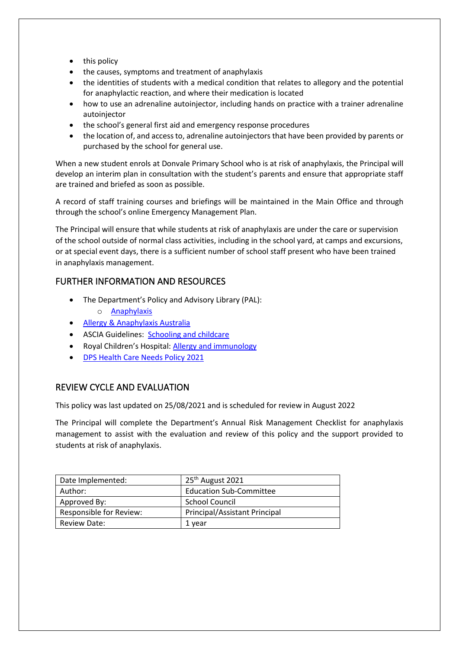- this policy
- the causes, symptoms and treatment of anaphylaxis
- the identities of students with a medical condition that relates to allegory and the potential for anaphylactic reaction, and where their medication is located
- how to use an adrenaline autoinjector, including hands on practice with a trainer adrenaline autoinjector
- the school's general first aid and emergency response procedures
- the location of, and access to, adrenaline autoinjectors that have been provided by parents or purchased by the school for general use.

When a new student enrols at Donvale Primary School who is at risk of anaphylaxis, the Principal will develop an interim plan in consultation with the student's parents and ensure that appropriate staff are trained and briefed as soon as possible.

A record of staff training courses and briefings will be maintained in the Main Office and through through the school's online Emergency Management Plan.

The Principal will ensure that while students at risk of anaphylaxis are under the care or supervision of the school outside of normal class activities, including in the school yard, at camps and excursions, or at special event days, there is a sufficient number of school staff present who have been trained in anaphylaxis management.

# FURTHER INFORMATION AND RESOURCES

- The Department's Policy and Advisory Library (PAL):
	- o [Anaphylaxis](https://www2.education.vic.gov.au/pal/anaphylaxis/policy)
- [Allergy & Anaphylaxis Australia](https://allergyfacts.org.au/)
- ASCIA Guidelines: [Schooling and childcare](https://allergyfacts.org.au/allergy-management/schooling-childcare)
- Royal Children's Hospital: Allergy and immunology
- [DPS Health Care Needs Policy 2021](http://donvaleps.vic.edu.au/wp-content/uploads/2011/03/DPS-Health-Care-Needs-policy-20211.pdf)

# REVIEW CYCLE AND EVALUATION

This policy was last updated on 25/08/2021 and is scheduled for review in August 2022

The Principal will complete the Department's Annual Risk Management Checklist for anaphylaxis management to assist with the evaluation and review of this policy and the support provided to students at risk of anaphylaxis.

| Date Implemented:       | 25 <sup>th</sup> August 2021         |
|-------------------------|--------------------------------------|
| Author:                 | <b>Education Sub-Committee</b>       |
| Approved By:            | School Council                       |
| Responsible for Review: | <b>Principal/Assistant Principal</b> |
| Review Date:            | 1 vear                               |